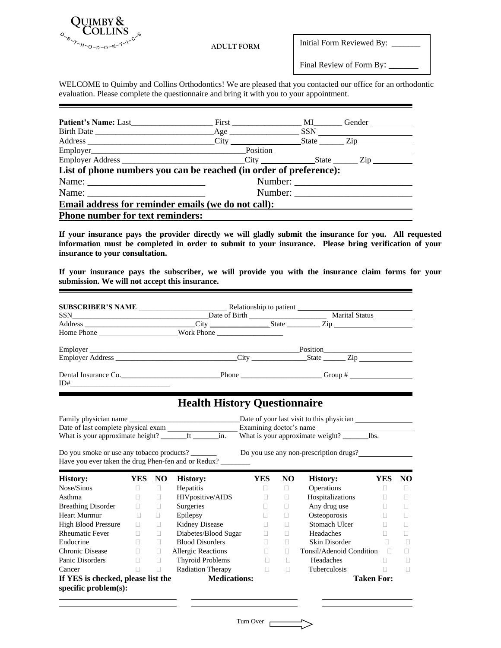

 $\blacksquare$ 

Initial Form Reviewed By: \_\_\_\_\_\_

Final Review of Form By: \_\_\_\_\_\_\_

WELCOME to Quimby and Collins Orthodontics! We are pleased that you contacted our office for an orthodontic evaluation. Please complete the questionnaire and bring it with you to your appointment.

| <b>Patient's Name:</b> Last First MI Gender                        |         |  |  |  |  |
|--------------------------------------------------------------------|---------|--|--|--|--|
|                                                                    |         |  |  |  |  |
|                                                                    |         |  |  |  |  |
|                                                                    |         |  |  |  |  |
|                                                                    |         |  |  |  |  |
| List of phone numbers you can be reached (in order of preference): |         |  |  |  |  |
| Number:                                                            |         |  |  |  |  |
|                                                                    | Number: |  |  |  |  |
| Email address for reminder emails (we do not call):                |         |  |  |  |  |
| <b>Phone number for text reminders:</b>                            |         |  |  |  |  |

**If your insurance pays the provider directly we will gladly submit the insurance for you. All requested information must be completed in order to submit to your insurance. Please bring verification of your insurance to your consultation.**

**If your insurance pays the subscriber, we will provide you with the insurance claim forms for your submission. We will not accept this insurance.**

|                                                               |        |        | Date of Birth Marital Status Marital Status                  |            |        |                                                                                                                |                   |        |
|---------------------------------------------------------------|--------|--------|--------------------------------------------------------------|------------|--------|----------------------------------------------------------------------------------------------------------------|-------------------|--------|
|                                                               |        |        |                                                              |            |        |                                                                                                                |                   |        |
|                                                               |        |        | Home Phone Nork Phone Nork Phone                             |            |        |                                                                                                                |                   |        |
|                                                               |        |        |                                                              |            |        |                                                                                                                |                   |        |
|                                                               |        |        |                                                              |            |        |                                                                                                                |                   |        |
| $ID# \_\_$                                                    |        |        | Dental Insurance Co. Phone Phone Coup #                      |            |        |                                                                                                                |                   |        |
|                                                               |        |        | <b>Health History Questionnaire</b>                          |            |        |                                                                                                                |                   |        |
| Do you smoke or use any tobacco products?                     |        |        | Have you ever taken the drug Phen-fen and or Redux? ________ |            |        | Date of your last visit to this physician<br>Examining doctor's name<br>Do you use any non-prescription drugs? |                   |        |
| <b>History:</b>                                               | YES NO |        | <b>History:</b>                                              | <b>YES</b> | NO.    | <b>History:</b>                                                                                                | <b>YES</b>        | NO     |
| Nose/Sinus                                                    | $\Box$ | П.     | Hepatitis                                                    | $\Box$     | $\Box$ | Operations                                                                                                     | П.                | П      |
| Asthma                                                        | $\Box$ | $\Box$ | HIVpositive/AIDS                                             | п          | n.     | Hospitalizations                                                                                               | П.                | П      |
| <b>Breathing Disorder</b>                                     | $\Box$ | $\Box$ | Surgeries                                                    | $\Box$     | п      | Any drug use                                                                                                   | П.                | П      |
| <b>Heart Murmur</b>                                           | $\Box$ | П.     | Epilepsy                                                     | $\Box$     | П.     | Osteoporosis                                                                                                   | П.                | $\Box$ |
| <b>High Blood Pressure</b>                                    | П.     | $\Box$ | Kidney Disease                                               | П          | $\Box$ | Stomach Ulcer                                                                                                  | П.                | П      |
| <b>Rheumatic Fever</b>                                        | П.     | $\Box$ | Diabetes/Blood Sugar                                         | П.         | П      | Headaches                                                                                                      | П.                | П      |
| Endocrine                                                     | П.     | П.     | <b>Blood Disorders</b>                                       | П          | П.     | Skin Disorder                                                                                                  | л                 | $\Box$ |
| Chronic Disease                                               | П.     | П.     | <b>Allergic Reactions</b>                                    | П.         | П.     | Tonsil/Adenoid Condition                                                                                       | $\Box$            | п      |
| Panic Disorders                                               | П.     | П.     | <b>Thyroid Problems</b>                                      | $\Box$     | $\Box$ | Headaches                                                                                                      | $\mathbf{L}$      | П      |
| Cancer                                                        | П.     | $\Box$ | <b>Radiation Therapy</b>                                     | П.         | П.     | Tuberculosis                                                                                                   | П.                | П      |
| If YES is checked, please list the<br>specific $problem(s)$ : |        |        | <b>Medications:</b>                                          |            |        |                                                                                                                | <b>Taken For:</b> |        |

Turn Over

l,